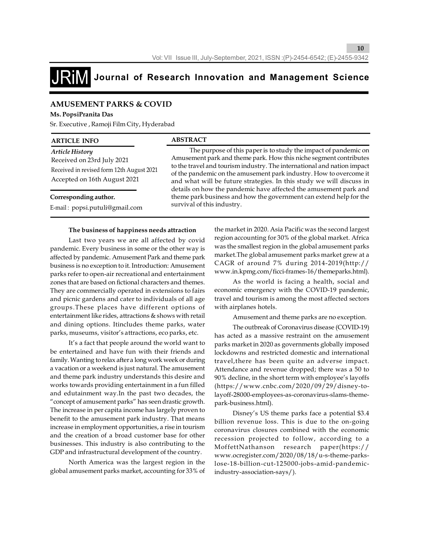

## **AMUSEMENT PARKS & COVID**

#### **Ms. PopsiPranita Das**

Sr. Executive , Ramoji Film City, Hyderabad

| <b>ARTICLE INFO</b>                                                                                                        | <b>ABSTRACT</b>                                                                                                                                                                                                                                                                                                                                                                                                                                                                                                                       |
|----------------------------------------------------------------------------------------------------------------------------|---------------------------------------------------------------------------------------------------------------------------------------------------------------------------------------------------------------------------------------------------------------------------------------------------------------------------------------------------------------------------------------------------------------------------------------------------------------------------------------------------------------------------------------|
| Article History<br>Received on 23rd July 2021<br>Received in revised form 12th August 2021<br>Accepted on 16th August 2021 | The purpose of this paper is to study the impact of pandemic on<br>Amusement park and theme park. How this niche segment contributes<br>to the travel and tourism industry. The international and nation impact<br>of the pandemic on the amusement park industry. How to overcome it<br>and what will be future strategies. In this study we will discuss in<br>details on how the pandemic have affected the amusement park and<br>theme park business and how the government can extend help for the<br>survival of this industry. |
| Corresponding author.<br>E-mail: popsi.putuli@gmail.com                                                                    |                                                                                                                                                                                                                                                                                                                                                                                                                                                                                                                                       |

#### **The business of happiness needs attraction**

Last two years we are all affected by covid pandemic. Every business in some or the other way is affected by pandemic. Amusement Park and theme park business is no exception to it. Introduction: Amusement parks refer to open-air recreational and entertainment zones that are based on fictional characters and themes. They are commercially operated in extensions to fairs and picnic gardens and cater to individuals of all age groups.These places have different options of entertainment like rides, attractions & shows with retail and dining options. Itincludes theme parks, water parks, museums, visitor's attractions, eco parks, etc.

It's a fact that people around the world want to be entertained and have fun with their friends and family. Wanting to relax after a long work week or during a vacation or a weekend is just natural. The amusement and theme park industry understands this desire and works towards providing entertainment in a fun filled and edutainment way.In the past two decades, the "concept of amusement parks" has seen drastic growth. The increase in per capita income has largely proven to benefit to the amusement park industry. That means increase in employment opportunities, a rise in tourism and the creation of a broad customer base for other businesses. This industry is also contributing to the GDP and infrastructural development of the country.

North America was the largest region in the global amusement parks market, accounting for 33% of

the market in 2020. Asia Pacific was the second largest region accounting for 30% of the global market. Africa was the smallest region in the global amusement parks market.The global amusement parks market grew at a CAGR of around 7% during 2014-2019(http:// www.in.kpmg.com/ficci-frames-16/themeparks.html).

As the world is facing a health, social and economic emergency with the COVID-19 pandemic, travel and tourism is among the most affected sectors with airplanes hotels.

Amusement and theme parks are no exception.

The outbreak of Coronavirus disease (COVID-19) has acted as a massive restraint on the amusement parks market in 2020 as governments globally imposed lockdowns and restricted domestic and international travel,there has been quite an adverse impact. Attendance and revenue dropped; there was a 50 to 90% decline, in the short term with employee's layoffs (https://www.cnbc.com/2020/09/29/disney-tolayoff-28000-employees-as-coronavirus-slams-themepark-business.html).

Disney's US theme parks face a potential \$3.4 billion revenue loss. This is due to the on-going coronavirus closures combined with the economic recession projected to follow, according to a MoffettNathanson research paper(https:// www.ocregister.com/2020/08/18/u-s-theme-parkslose-18-billion-cut-125000-jobs-amid-pandemicindustry-association-says/).

**10**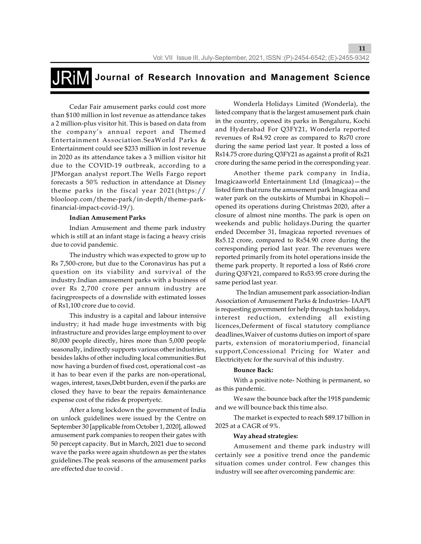# **Journal of Research Innovation and Management Science**

Cedar Fair amusement parks could cost more than \$100 million in lost revenue as attendance takes a 2 million-plus visitor hit. This is based on data from the company's annual report and Themed Entertainment Association.SeaWorld Parks & Entertainment could see \$233 million in lost revenue in 2020 as its attendance takes a 3 million visitor hit due to the COVID-19 outbreak, according to a JPMorgan analyst report.The Wells Fargo report forecasts a 50% reduction in attendance at Disney theme parks in the fiscal year 2021(https:// blooloop.com/theme-park/in-depth/theme-parkfinancial-impact-covid-19/).

#### **Indian Amusement Parks**

Indian Amusement and theme park industry which is still at an infant stage is facing a heavy crisis due to covid pandemic.

The industry which was expected to grow up to Rs 7,500-crore, but due to the Coronavirus has put a question on its viability and survival of the industry.Indian amusement parks with a business of over Rs 2,700 crore per annum industry are facingprospects of a downslide with estimated losses of Rs1,100 crore due to covid.

This industry is a capital and labour intensive industry; it had made huge investments with big infrastructure and provides large employment to over 80,000 people directly, hires more than 5,000 people seasonally, indirectly supports various other industries, besides lakhs of other including local communities.But now having a burden of fixed cost, operational cost –as it has to bear even if the parks are non-operational, wages, interest, taxes,Debt burden, even if the parks are closed they have to bear the repairs &maintenance expense cost of the rides & propertyetc.

After a long lockdown the government of India on unlock guidelines were issued by the Centre on September 30 [applicable from October 1, 2020], allowed amusement park companies to reopen their gates with 50 percept capacity. But in March, 2021 due to second wave the parks were again shutdown as per the states guidelines.The peak seasons of the amusement parks are effected due to covid .

Wonderla Holidays Limited (Wonderla), the listed company that is the largest amusement park chain in the country, opened its parks in Bengaluru, Kochi and Hyderabad For Q3FY21, Wonderla reported revenues of Rs4.92 crore as compared to Rs70 crore during the same period last year. It posted a loss of Rs14.75 crore during Q3FY21 as against a profit of Rs21 crore during the same period in the corresponding year.

**11**

Another theme park company in India, Imagicaaworld Entertainment Ltd (Imagicaa)—the listed firm that runs the amusement park Imagicaa and water park on the outskirts of Mumbai in Khopoli opened its operations during Christmas 2020, after a closure of almost nine months. The park is open on weekends and public holidays.During the quarter ended December 31, Imagicaa reported revenues of Rs5.12 crore, compared to Rs54.90 crore during the corresponding period last year. The revenues were reported primarily from its hotel operations inside the theme park property. It reported a loss of Rs66 crore during Q3FY21, compared to Rs53.95 crore during the same period last year.

 The Indian amusement park association-Indian Association of Amusement Parks & Industries- IAAPI is requesting government for help through tax holidays, interest reduction, extending all existing licences,Deferment of fiscal statutory compliance deadlines,Waiver of customs duties on import of spare parts, extension of moratoriumperiod, financial support,Concessional Pricing for Water and Electricityetc for the survival of this industry.

#### **Bounce Back:**

With a positive note- Nothing is permanent, so as this pandemic.

We saw the bounce back after the 1918 pandemic and we will bounce back this time also.

The market is expected to reach \$89.17 billion in 2025 at a CAGR of 9%.

#### **Way ahead strategies:**

Amusement and theme park industry will certainly see a positive trend once the pandemic situation comes under control. Few changes this industry will see after overcoming pandemic are: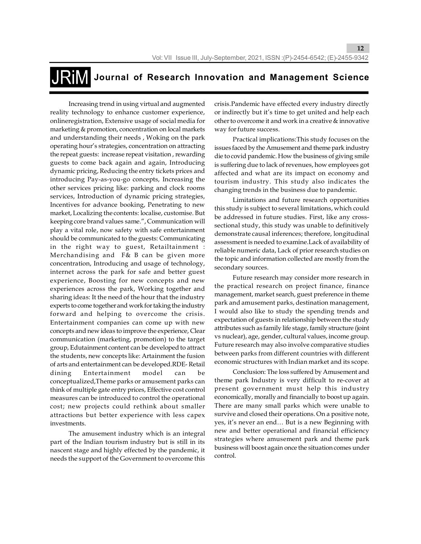**Journal of Research Innovation and Management Science**

Increasing trend in using virtual and augmented reality technology to enhance customer experience, onlineregistration, Extensive usage of social media for marketing & promotion, concentration on local markets and understanding their needs , Woking on the park operating hour's strategies, concentration on attracting the repeat guests: increase repeat visitation , rewarding guests to come back again and again, Introducing dynamic pricing, Reducing the entry tickets prices and introducing Pay-as-you-go concepts, Increasing the other services pricing like: parking and clock rooms services, Introduction of dynamic pricing strategies, Incentives for advance booking, Penetrating to new market, Localizing the contents: localise, customise. But keeping core brand values same.", Communication will play a vital role, now safety with safe entertainment should be communicated to the guests: Communicating in the right way to guest, Retailtainment : Merchandising and F& B can be given more concentration, Introducing and usage of technology, internet across the park for safe and better guest experience, Boosting for new concepts and new experiences across the park, Working together and sharing ideas: It the need of the hour that the industry experts to come together and work for taking the industry forward and helping to overcome the crisis. Entertainment companies can come up with new concepts and new ideas to improve the experience, Clear communication (marketing, promotion) to the target group, Edutainment content can be developed to attract the students, new concepts like: Artainment the fusion of arts and entertainment can be developed.RDE- Retail dining Entertainment model can be conceptualized,Theme parks or amusement parks can think of multiple gate entry prices, Effective cost control measures can be introduced to control the operational cost; new projects could rethink about smaller attractions but better experience with less capex investments.

The amusement industry which is an integral part of the Indian tourism industry but is still in its nascent stage and highly effected by the pandemic, it needs the support of the Government to overcome this

crisis.Pandemic have effected every industry directly or indirectly but it's time to get united and help each other to overcome it and work in a creative & innovative way for future success.

**12**

Practical implications:This study focuses on the issues faced by the Amusement and theme park industry die to covid pandemic. How the business of giving smile is suffering due to lack of revenues, how employees got affected and what are its impact on economy and tourism industry. This study also indicates the changing trends in the business due to pandemic.

Limitations and future research opportunities this study is subject to several limitations, which could be addressed in future studies. First, like any crosssectional study, this study was unable to definitively demonstrate causal inferences; therefore, longitudinal assessment is needed to examine.Lack of availability of reliable numeric data, Lack of prior research studies on the topic and information collected are mostly from the secondary sources.

Future research may consider more research in the practical research on project finance, finance management, market search, guest preference in theme park and amusement parks, destination management, I would also like to study the spending trends and expectation of guests in relationship between the study attributes such as family life stage, family structure (joint vs nuclear), age, gender, cultural values, income group. Future research may also involve comparative studies between parks from different countries with different economic structures with Indian market and its scope.

Conclusion: The loss suffered by Amusement and theme park Industry is very difficult to re-cover at present government must help this industry economically, morally and financially to boost up again. There are many small parks which were unable to survive and closed their operations. On a positive note, yes, it's never an end… But is a new Beginning with new and better operational and financial efficiency strategies where amusement park and theme park business will boost again once the situation comes under control.